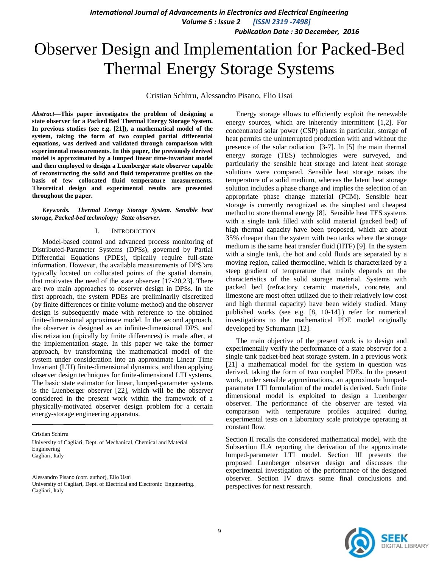*Publication Date : 30 December, 2016*

# Observer Design and Implementation for Packed-Bed Thermal Energy Storage Systems

Cristian Schirru, Alessandro Pisano, Elio Usai

*Abstract***—This paper investigates the problem of designing a state observer for a Packed Bed Thermal Energy Storage System. In previous studies (see e.g. [21]), a mathematical model of the system, taking the form of two coupled partial differential equations, was derived and validated through comparison with experimental measurements. In this paper, the previously derived model is approximated by a lumped linear time-invariant model and then employed to design a Luenberger state observer capable of reconstructing the solid and fluid temperature profiles on the basis of few collocated fluid temperature measurements. Theoretical design and experimental results are presented throughout the paper.**

*Keywords. Thermal Energy Storage System. Sensible heat storage, Packed-bed technology; State observer.*

#### I. INTRODUCTION

Model-based control and advanced process monitoring of Distributed-Parameter Systems (DPSs), governed by Partial Differential Equations (PDEs), tipically require full-state information. However, the available measurements of DPS'are typically located on collocated points of the spatial domain, that motivates the need of the state observer [17-20,23]. There are two main approaches to observer design in DPSs. In the first approach, the system PDEs are preliminarily discretized (by finite differences or finite volume method) and the observer design is subsequently made with reference to the obtained finite-dimensional approximate model. In the second approach, the observer is designed as an infinite-dimensional DPS, and discretization (tipically by finite differences) is made after, at the implementation stage. In this paper we take the former approach, by transforming the mathematical model of the system under consideration into an approximate Linear Time Invariant (LTI) finite-dimensional dynamics, and then applying observer design techniques for finite-dimensional LTI systems. The basic state estimator for linear, lumped-parameter systems is the Luenberger observer [22], which will be the observer considered in the present work within the framework of a physically-motivated observer design problem for a certain energy-storage engineering apparatus.

Cristian Schirru

University of Cagliari, Dept. of Mechanical, Chemical and Material Engineering Cagliari, Italy

Alessandro Pisano (corr. author), Elio Usai University of Cagliari, Dept. of Electrical and Electronic Engineering. Cagliari, Italy

Energy storage allows to efficiently exploit the renewable energy sources, which are inherently intermittent [1,2]. For concentrated solar power (CSP) plants in particular, storage of heat permits the uninterrupted production with and without the presence of the solar radiation [3-7]. In [5] the main thermal energy storage (TES) technologies were surveyed, and particularly the sensible heat storage and latent heat storage solutions were compared. Sensible heat storage raises the temperature of a solid medium, whereas the latent heat storage solution includes a phase change and implies the selection of an appropriate phase change material (PCM). Sensible heat storage is currently recognized as the simplest and cheapest method to store thermal energy [8]. Sensible heat TES systems with a single tank filled with solid material (packed bed) of high thermal capacity have been proposed, which are about 35% cheaper than the system with two tanks where the storage medium is the same heat transfer fluid (HTF) [9]. In the system with a single tank, the hot and cold fluids are separated by a moving region, called thermocline, which is characterized by a steep gradient of temperature that mainly depends on the characteristics of the solid storage material. Systems with packed bed (refractory ceramic materials, concrete, and limestone are most often utilized due to their relatively low cost and high thermal capacity) have been widely studied. Many published works (see e.g. [8, 10-14].) refer for numerical investigations to the mathematical PDE model originally developed by Schumann [12].

The main objective of the present work is to design and experimentally verify the performance of a state observer for a single tank packet-bed heat storage system. In a previous work [21] a mathematical model for the system in question was derived, taking the form of two coupled PDEs. In the present work, under sensible approximations, an approximate lumpedparameter LTI formulation of the model is derived. Such finite dimensional model is exploited to design a Luenberger observer. The performance of the observer are tested via comparison with temperature profiles acquired during experimental tests on a laboratory scale prototype operating at constant flow.

Section II recalls the considered mathematical model, with the Subsection II.A reporting the derivation of the approximate lumped-parameter LTI model. Section III presents the proposed Luenberger observer design and discusses the experimental investigation of the performance of the designed observer. Section IV draws some final conclusions and perspectives for next research.

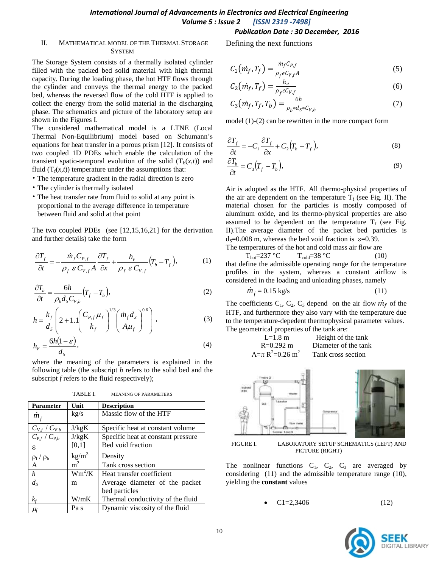#### II. MATHEMATICAL MODEL OF THE THERMAL STORAGE **SYSTEM**

The Storage System consists of a thermally isolated cylinder filled with the packed bed solid material with high thermal capacity. During the loading phase, the hot HTF flows through the cylinder and conveys the thermal energy to the packed bed, whereas the reversed flow of the cold HTF is applied to collect the energy from the solid material in the discharging phase. The schematics and picture of the laboratory setup are shown in the Figures I.

The considered mathematical model is a LTNE (Local Thermal Non-Equilibrium) model based on Schumann's equations for heat transfer in a porous prism [12]. It consists of two coupled 1D PDEs which enable the calculation of the transient spatio-temporal evolution of the solid  $(T_b(x,t))$  and fluid  $(T_f(x,t))$  temperature under the assumptions that:

- The temperature gradient in the radial direction is zero
- The cylinder is thermally isolated
- The heat transfer rate from fluid to solid at any point is proportional to the average difference in temperature between fluid and solid at that point

The two coupled PDEs (see [12,15,16,21] for the derivation and further details) take the form

$$
\frac{\partial T_f}{\partial t} = -\frac{\dot{m}_f C_{P,f}}{\rho_f \ \varepsilon \ C_{V,f} A} \frac{\partial T_f}{\partial x} + \frac{h_V}{\rho_f \ \varepsilon \ C_{V,f}} \left( T_b - T_f \right),\tag{1}
$$

$$
\frac{\partial T_b}{\partial t} = \frac{6h}{\rho_b d_s C_{V,b}} \left( T_f - T_b \right),\tag{2}
$$

$$
h = \frac{k_f}{d_s} \left( 2 + 1.1 \left( \frac{C_{P,f} \mu_f}{k_f} \right)^{1/3} \left( \frac{\dot{m}_f d_s}{A \mu_f} \right)^{0.6} \right),
$$
 (3)

$$
h_{v} = \frac{6h(1-\varepsilon)}{d_{s}},\tag{4}
$$

where the meaning of the parameters is explained in the following table (the subscript *b* refers to the solid bed and the subscript *f* refers to the fluid respectively);

TABLE I. MEANING OF PARAMETERS

| <b>Parameter</b>      | Unit              | <b>Description</b>                 |
|-----------------------|-------------------|------------------------------------|
| $m_f$                 | kg/s              | Massic flow of the HTF             |
| $C_{V,f}$ / $C_{V,b}$ | J/kgK             | Specific heat at constant volume.  |
| $C_{P,f}$ / $C_{P,b}$ | J/kgK             | Specific heat at constant pressure |
| ε.                    | [0,1]             | Bed void fraction                  |
| $\rho_f / \rho_b$     | kg/m <sup>3</sup> | Density                            |
| $\mathbf{A}$          | m                 | Tank cross section                 |
| $\boldsymbol{h}$      | $Wm^2/K$          | Heat transfer coefficient          |
| $d_{\rm S}$           | m                 | Average diameter of the packet     |
|                       |                   | bed particles                      |
| $k_f$                 | W/mK              | Thermal conductivity of the fluid  |
| $\mu_{\text{f}}$      | Pa s              | Dynamic viscosity of the fluid     |

# *Publication Date : 30 December, 2016*

Defining the next functions

$$
C_1(m_f, T_f) = \frac{m_f C_{P,f}}{\rho_f \epsilon C_{V,f} A}
$$
 (5)

$$
C_2(m_f, T_f) = \frac{h_v}{\rho_f \epsilon C_{V,f}}\tag{6}
$$

$$
C_3(m_f, T_f, T_b) = \frac{6h}{\rho_b * d_S * C_{V,b}}
$$
 (7)

model (1)-(2) can be rewritten in the more compact form

$$
\frac{\partial T_f}{\partial t} = -C_1 \frac{\partial T_f}{\partial x} + C_2 (T_b - T_f),\tag{8}
$$

$$
\frac{\partial T_b}{\partial t} = C_3 (T_f - T_b),\tag{9}
$$

Air is adopted as the HTF. All thermo-physical properties of the air are dependent on the temperature  $T_f$  (see Fig. II). The material chosen for the particles is mostly composed of aluminum oxide, and its thermo-physical properties are also assumed to be dependent on the temperature  $T_f$  (see Fig. II).The average diameter of the packet bed particles is  $d_s = 0.008$  m, whereas the bed void fraction is  $\varepsilon = 0.39$ . The temperatures of the hot and cold mass air flow are

 $T_{hot} = 237 \text{ °C}$   $T_{cold} = 38 \text{ °C}$  (10) that define the admissible operating range for the temperature profiles in the system, whereas a constant airflow is considered in the loading and unloading phases, namely

$$
\dot{m}_f = 0.15 \text{ kg/s} \tag{11}
$$

The coefficients  $C_1$ ,  $C_2$ ,  $C_3$  depend on the air flow  $m_f$  of the HTF, and furthermore they also vary with the temperature due to the temperature-depedent thermophysical parameter values. The geometrical properties of the tank are:





FIGURE I. LABORATORY SETUP SCHEMATICS (LEFT) AND PICTURE (RIGHT)

The nonlinear functions  $C_1$ ,  $C_2$ ,  $C_3$  are averaged by considering (11) and the admissible temperature range (10), yielding the **constant** values

 $C1=2,3406$  (12)

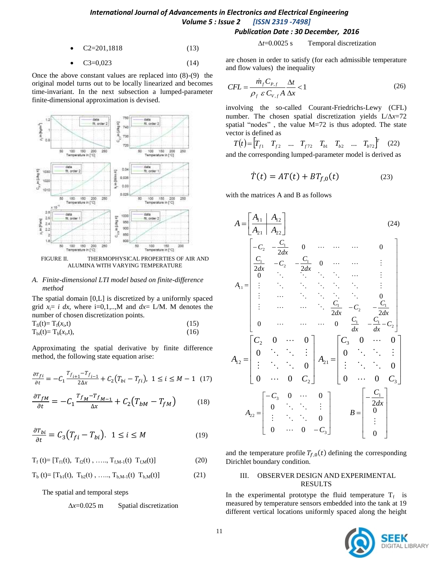## *International Journal of Advancements in Electronics and Electrical Engineering Volume 5 : Issue 2 [ISSN 2319 -7498] Publication Date : 30 December, 2016*

 $C2 = 201,1818$  (13)

• 
$$
C3=0,023
$$
 (14)

Once the above constant values are replaced into (8)-(9) the original model turns out to be locally linearized and becomes time-invariant. In the next subsection a lumped-parameter finite-dimensional approximation is devised.



FIGURE II. THERMOPHYSICAL PROPERTIES OF AIR AND ALUMINA WITH VARYING TEMPERATURE

#### *A. Finite-dimensional LTI model based on finite-difference method*

The spatial domain [0,L] is discretized by a uniformly spaced grid  $x_i = i dx$ , where i=0,1,..,M and  $dx = L/M$ . M denotes the number of chosen discretization points.

$$
T_{fi}(t) = T_f(x_i, t)
$$
\n(15)  
\n
$$
T_{bi}(t) = T_b(x_i, t),
$$
\n(16)

Approximating the spatial derivative by finite difference method, the following state equation arise:

$$
\frac{\partial T_{fi}}{\partial t} = -C_1 \frac{T_{f_{i+1}} - T_{f_{i-1}}}{2\Delta x} + C_2 (T_{bi} - T_{fi}), \ 1 \le i \le M - 1 \ (17)
$$

$$
\frac{\partial T_{fM}}{\partial t} = -C_1 \frac{T_{fM} - T_{fM-1}}{\Delta x} + C_2 (T_{bM} - T_{fM}) \tag{18}
$$

$$
\frac{\partial T_{bi}}{\partial t} = C_3 (T_{fi} - T_{bi}). \quad 1 \le i \le M
$$
 (19)

 $T_f(t) = [T_{f1}(t), T_{f2}(t), \ldots, T_{f,M-1}(t) T_{f,M}(t)]$  (20)

$$
T_{b}(t) = [T_{b1}(t), T_{b2}(t), \, \ldots, T_{b,M-1}(t) T_{b,M}(t)] \tag{21}
$$

The spatial and temporal steps

## $\Delta x = 0.025$  m Spatial discretization

 $\Delta t = 0.0025$  s Temporal discretization

are chosen in order to satisfy (for each admissible temperature and flow values) the inequality

$$
CFL = \frac{\dot{m}_f C_{p,f}}{\rho_f \ \varepsilon \ C_{V,f} A} \frac{\Delta t}{\Delta x} < 1 \tag{26}
$$

involving the so-called Courant-Friedrichs-Lewy (CFL) number. The chosen spatial discretization yields  $L/\Delta x = 72$ spatial "nodes", the value  $M=72$  is thus adopted. The state vector is defined as

$$
T(t) = \begin{bmatrix} T_{f1} & T_{f2} & \dots & T_{f72} & T_{b1} & T_{b2} & \dots & T_{b72} \end{bmatrix}^T
$$
 (22)

and the corresponding lumped-parameter model is derived as

$$
\dot{T}(t) = AT(t) + BTf,0(t)
$$
\n(23)

with the matrices A and B as follows

$$
A = \begin{bmatrix} A_{11} & A_{12} \\ A_{21} & A_{22} \end{bmatrix}
$$
(24)  

$$
\begin{bmatrix} -C_{2} & -\frac{C_{1}}{2dx} & 0 & \cdots & \cdots & 0 \\ \frac{C_{1}}{2dx} & -C_{2} & -\frac{C_{1}}{2dx} & 0 & \cdots & \cdots & \vdots \\ \vdots & \vdots & \ddots & \ddots & \ddots & \vdots & \vdots \\ \vdots & \ddots & \ddots & \ddots & \ddots & \ddots & 0 \\ \vdots & \cdots & \cdots & \ddots & \frac{C_{1}}{2dx} & -C_{2} & -\frac{C_{1}}{2dx} \\ 0 & \cdots & \cdots & \cdots & 0 & \frac{C_{1}}{dx} & -\frac{C_{1}}{dx} - C_{2} \end{bmatrix}
$$
  

$$
A_{12} = \begin{bmatrix} C_{2} & 0 & \cdots & 0 \\ 0 & \ddots & \ddots & \vdots \\ \vdots & \ddots & \ddots & 0 \\ 0 & \cdots & 0 & C_{2} \end{bmatrix} A_{21} = \begin{bmatrix} C_{3} & 0 & \cdots & 0 \\ 0 & \ddots & \ddots & \vdots \\ \vdots & \ddots & \ddots & 0 \\ 0 & \cdots & 0 & C_{3} \end{bmatrix}
$$
  

$$
A_{22} = \begin{bmatrix} -C_{3} & 0 & \cdots & 0 \\ 0 & \ddots & \ddots & \vdots \\ \vdots & \ddots & \ddots & 0 \\ 0 & \cdots & 0 & -C_{3} \end{bmatrix} \qquad B = \begin{bmatrix} -\frac{C_{1}}{2dx} \\ 0 \\ \vdots \\ 0 \end{bmatrix}
$$

and the temperature profile  $T_{f,0}(t)$  defining the corresponding Dirichlet boundary condition.

## III. OBSERVER DESIGN AND EXPERIMENTAL RESULTS

In the experimental prototype the fluid temperature  $T_f$  is measured by temperature sensors embedded into the tank at 19 different vertical locations uniformly spaced along the height

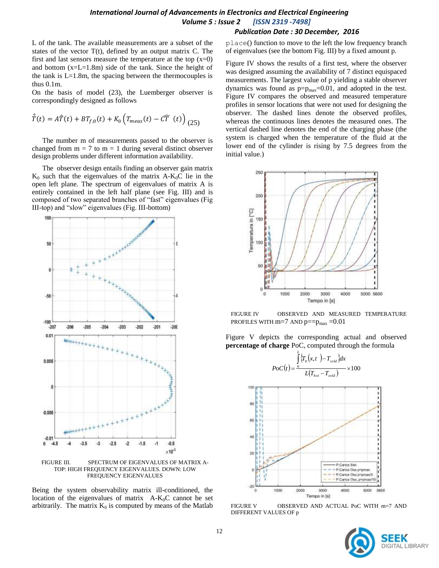L of the tank. The available measurements are a subset of the states of the vector  $T(t)$ , defined by an output matrix C. The first and last sensors measure the temperature at the top  $(x=0)$ and bottom (x=L=1.8m) side of the tank. Since the height of the tank is  $L=1.8m$ , the spacing between the thermocouples is thus 0.1m.

On the basis of model (23), the Luemberger observer is correspondingly designed as follows

$$
\hat{\dot{T}}(t) = A\hat{T}(t) + BT_{f,0}(t) + K_0 \left( T_{meas}(t) - C\hat{T}(t) \right)_{(25)}
$$

The number m of measurements passed to the observer is changed from  $m = 7$  to  $m = 1$  during several distinct observer design problems under different information availability.

The observer design entails finding an observer gain matrix  $K_0$  such that the eigenvalues of the matrix  $A-K_0C$  lie in the open left plane. The spectrum of eigenvalues of matrix A is entirely contained in the left half plane (see Fig. III) and is composed of two separated branches of "fast" eigenvalues (Fig. III-top) and "slow" eigenvalues (Fig. III-bottom)



Being the system observability matrix ill-conditioned, the location of the eigenvalues of matrix  $A-K_0C$  cannot be set arbitrarily. The matrix  $K_0$  is computed by means of the Matlab

## *Publication Date : 30 December, 2016*

place() function to move to the left the low frequency branch of eigenvalues (see the bottom Fig. III) by a fixed amount p.

Figure IV shows the results of a first test, where the observer was designed assuming the availability of 7 distinct equispaced measurements. The largest value of p yielding a stable observer dynamics was found as  $p=p_{max}=0.01$ , and adopted in the test. Figure IV compares the observed and measured temperature profiles in sensor locations that were not used for designing the observer. The dashed lines denote the observed profiles, whereas the continuous lines denotes the measured ones. The vertical dashed line denotes the end of the charging phase (the system is charged when the temperature of the fluid at the lower end of the cylinder is rising by 7.5 degrees from the initial value.)



FIGURE IV OBSERVED AND MEASURED TEMPERATURE PROFILES WITH  $m=7$  AND  $p==p_{max} = 0.01$ 

Figure V depicts the corresponding actual and observed **percentage of charge** PoC, computed through the formula

*L*

 $\langle T_h(x,t)|-T_{cold}\rangle dx$ 



FIGURE V OBSERVED AND ACTUAL PoC WITH m=7 AND DIFFERENT VALUES OF p